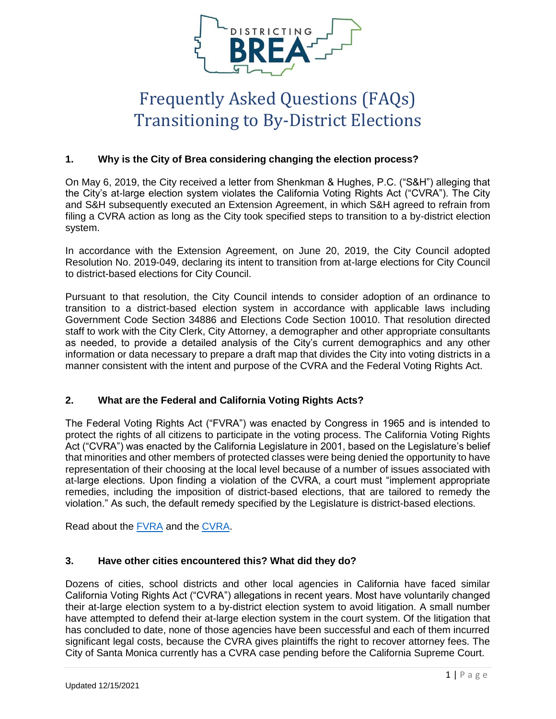

# Frequently Asked Questions (FAQs) Transitioning to By-District Elections

# **1. Why is the City of Brea considering changing the election process?**

On May 6, 2019, the City received a letter from Shenkman & Hughes, P.C. ("S&H") alleging that the City's at-large election system violates the California Voting Rights Act ("CVRA"). The City and S&H subsequently executed an Extension Agreement, in which S&H agreed to refrain from filing a CVRA action as long as the City took specified steps to transition to a by-district election system.

In accordance with the Extension Agreement, on June 20, 2019, the City Council adopted Resolution No. 2019-049, declaring its intent to transition from at-large elections for City Council to district-based elections for City Council.

Pursuant to that resolution, the City Council intends to consider adoption of an ordinance to transition to a district-based election system in accordance with applicable laws including Government Code Section 34886 and Elections Code Section 10010. That resolution directed staff to work with the City Clerk, City Attorney, a demographer and other appropriate consultants as needed, to provide a detailed analysis of the City's current demographics and any other information or data necessary to prepare a draft map that divides the City into voting districts in a manner consistent with the intent and purpose of the CVRA and the Federal Voting Rights Act.

# **2. What are the Federal and California Voting Rights Acts?**

The Federal Voting Rights Act ("FVRA") was enacted by Congress in 1965 and is intended to protect the rights of all citizens to participate in the voting process. The California Voting Rights Act ("CVRA") was enacted by the California Legislature in 2001, based on the Legislature's belief that minorities and other members of protected classes were being denied the opportunity to have representation of their choosing at the local level because of a number of issues associated with at-large elections. Upon finding a violation of the CVRA, a court must "implement appropriate remedies, including the imposition of district-based elections, that are tailored to remedy the violation." As such, the default remedy specified by the Legislature is district-based elections.

Read about the [FVRA](https://www.justice.gov/crt/history-federal-voting-rights-laws) and the [CVRA.](https://leginfo.legislature.ca.gov/faces/billNavClient.xhtml?bill_id=201520160AB182)

# **3. Have other cities encountered this? What did they do?**

Dozens of cities, school districts and other local agencies in California have faced similar California Voting Rights Act ("CVRA") allegations in recent years. Most have voluntarily changed their at-large election system to a by-district election system to avoid litigation. A small number have attempted to defend their at-large election system in the court system. Of the litigation that has concluded to date, none of those agencies have been successful and each of them incurred significant legal costs, because the CVRA gives plaintiffs the right to recover attorney fees. The City of Santa Monica currently has a CVRA case pending before the California Supreme Court.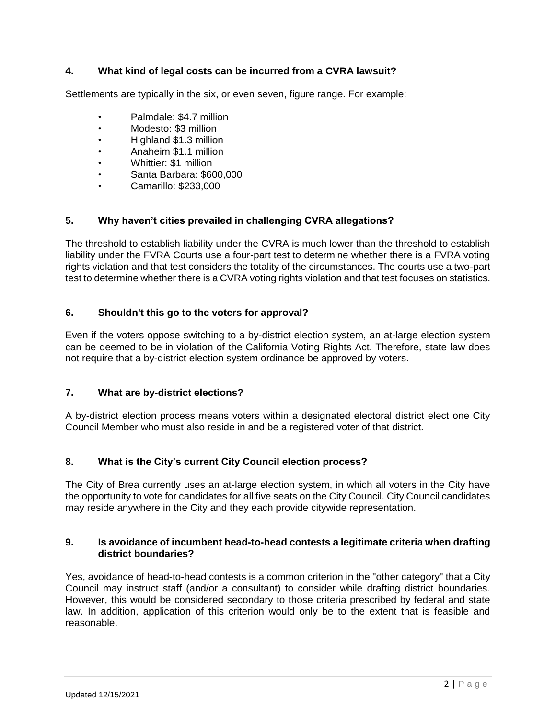# **4. What kind of legal costs can be incurred from a CVRA lawsuit?**

Settlements are typically in the six, or even seven, figure range. For example:

- Palmdale: \$4.7 million
- Modesto: \$3 million
- Highland \$1.3 million
- Anaheim \$1.1 million
- Whittier: \$1 million
- Santa Barbara: \$600,000
- Camarillo: \$233,000

# **5. Why haven't cities prevailed in challenging CVRA allegations?**

The threshold to establish liability under the CVRA is much lower than the threshold to establish liability under the FVRA Courts use a four-part test to determine whether there is a FVRA voting rights violation and that test considers the totality of the circumstances. The courts use a two-part test to determine whether there is a CVRA voting rights violation and that test focuses on statistics.

## **6. Shouldn't this go to the voters for approval?**

Even if the voters oppose switching to a by-district election system, an at-large election system can be deemed to be in violation of the California Voting Rights Act. Therefore, state law does not require that a by-district election system ordinance be approved by voters.

#### **7. What are by-district elections?**

A by-district election process means voters within a designated electoral district elect one City Council Member who must also reside in and be a registered voter of that district.

# **8. What is the City's current City Council election process?**

The City of Brea currently uses an at-large election system, in which all voters in the City have the opportunity to vote for candidates for all five seats on the City Council. City Council candidates may reside anywhere in the City and they each provide citywide representation.

#### **9. Is avoidance of incumbent head-to-head contests a legitimate criteria when drafting district boundaries?**

Yes, avoidance of head-to-head contests is a common criterion in the "other category" that a City Council may instruct staff (and/or a consultant) to consider while drafting district boundaries. However, this would be considered secondary to those criteria prescribed by federal and state law. In addition, application of this criterion would only be to the extent that is feasible and reasonable.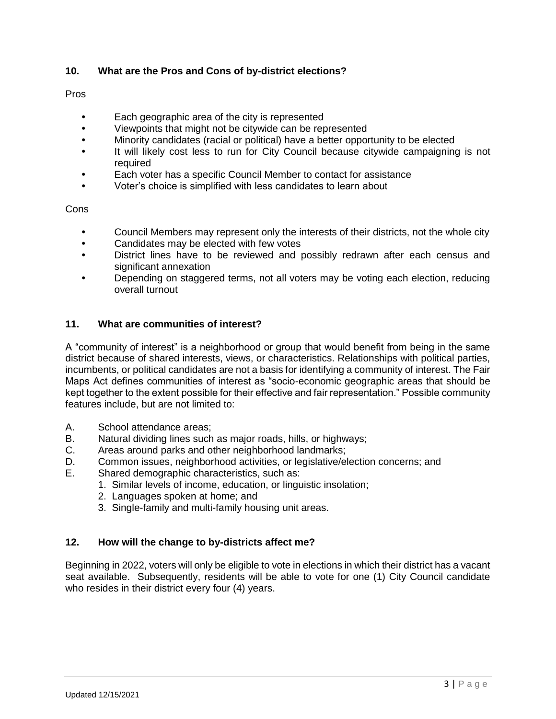# **10. What are the Pros and Cons of by-district elections?**

## Pros

- **•** Each geographic area of the city is represented
- **•** Viewpoints that might not be citywide can be represented
- **•** Minority candidates (racial or political) have a better opportunity to be elected
- **•** It will likely cost less to run for City Council because citywide campaigning is not required
- **•** Each voter has a specific Council Member to contact for assistance
- **•** Voter's choice is simplified with less candidates to learn about

**Cons** 

- **•** Council Members may represent only the interests of their districts, not the whole city
- **•** Candidates may be elected with few votes
- **•** District lines have to be reviewed and possibly redrawn after each census and significant annexation
- **•** Depending on staggered terms, not all voters may be voting each election, reducing overall turnout

# **11. What are communities of interest?**

A "community of interest" is a neighborhood or group that would benefit from being in the same district because of shared interests, views, or characteristics. Relationships with political parties, incumbents, or political candidates are not a basis for identifying a community of interest. The Fair Maps Act defines communities of interest as "socio-economic geographic areas that should be kept together to the extent possible for their effective and fair representation." Possible community features include, but are not limited to:

- A. School attendance areas;
- B. Natural dividing lines such as major roads, hills, or highways;
- C. Areas around parks and other neighborhood landmarks;
- D. Common issues, neighborhood activities, or legislative/election concerns; and
- E. Shared demographic characteristics, such as:
	- 1. Similar levels of income, education, or linguistic insolation;
	- 2. Languages spoken at home; and
	- 3. Single-family and multi-family housing unit areas.

# **12. How will the change to by-districts affect me?**

Beginning in 2022, voters will only be eligible to vote in elections in which their district has a vacant seat available. Subsequently, residents will be able to vote for one (1) City Council candidate who resides in their district every four (4) years.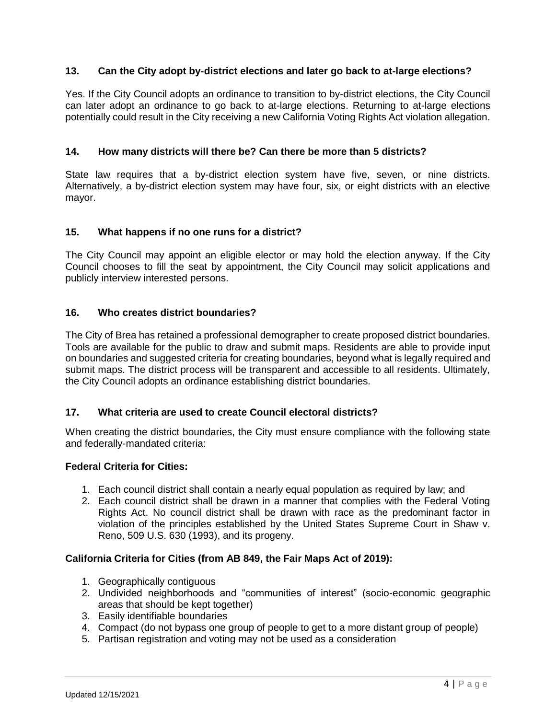## **13. Can the City adopt by-district elections and later go back to at-large elections?**

Yes. If the City Council adopts an ordinance to transition to by-district elections, the City Council can later adopt an ordinance to go back to at-large elections. Returning to at-large elections potentially could result in the City receiving a new California Voting Rights Act violation allegation.

## **14. How many districts will there be? Can there be more than 5 districts?**

State law requires that a by-district election system have five, seven, or nine districts. Alternatively, a by-district election system may have four, six, or eight districts with an elective mayor.

## **15. What happens if no one runs for a district?**

The City Council may appoint an eligible elector or may hold the election anyway. If the City Council chooses to fill the seat by appointment, the City Council may solicit applications and publicly interview interested persons.

## **16. Who creates district boundaries?**

The City of Brea has retained a professional demographer to create proposed district boundaries. Tools are available for the public to draw and submit maps. Residents are able to provide input on boundaries and suggested criteria for creating boundaries, beyond what is legally required and submit maps. The district process will be transparent and accessible to all residents. Ultimately, the City Council adopts an ordinance establishing district boundaries.

#### **17. What criteria are used to create Council electoral districts?**

When creating the district boundaries, the City must ensure compliance with the following state and federally-mandated criteria:

#### **Federal Criteria for Cities:**

- 1. Each council district shall contain a nearly equal population as required by law; and
- 2. Each council district shall be drawn in a manner that complies with the Federal Voting Rights Act. No council district shall be drawn with race as the predominant factor in violation of the principles established by the United States Supreme Court in Shaw v. Reno, 509 U.S. 630 (1993), and its progeny.

#### **California Criteria for Cities (from AB 849, the Fair Maps Act of 2019):**

- 1. Geographically contiguous
- 2. Undivided neighborhoods and "communities of interest" (socio-economic geographic areas that should be kept together)
- 3. Easily identifiable boundaries
- 4. Compact (do not bypass one group of people to get to a more distant group of people)
- 5. Partisan registration and voting may not be used as a consideration